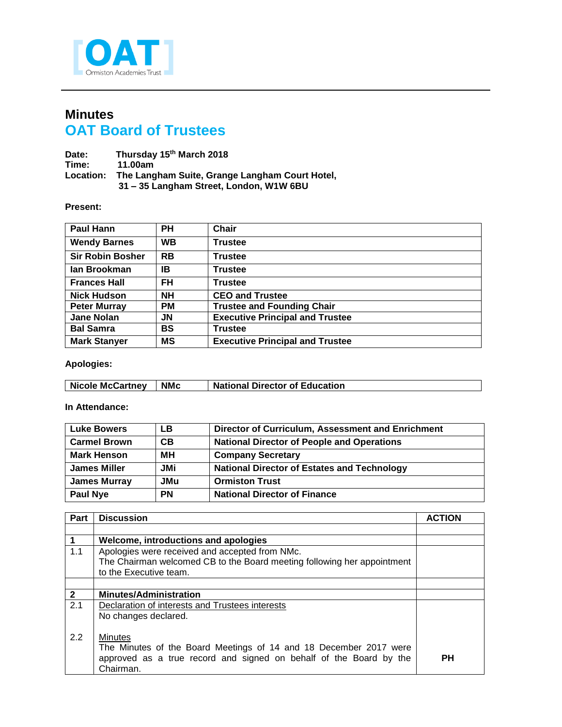

## **Minutes OAT Board of Trustees**

| Date:            | Thursday 15th March 2018                       |
|------------------|------------------------------------------------|
| Time:            | 11.00am                                        |
| <b>Location:</b> | The Langham Suite, Grange Langham Court Hotel, |
|                  | 31 - 35 Langham Street, London, W1W 6BU        |

## **Present:**

| <b>Paul Hann</b>        | PH        | <b>Chair</b>                           |
|-------------------------|-----------|----------------------------------------|
| <b>Wendy Barnes</b>     | <b>WB</b> | <b>Trustee</b>                         |
| <b>Sir Robin Bosher</b> | <b>RB</b> | <b>Trustee</b>                         |
| lan Brookman            | ΙB        | <b>Trustee</b>                         |
| <b>Frances Hall</b>     | FH        | <b>Trustee</b>                         |
| <b>Nick Hudson</b>      | <b>NH</b> | <b>CEO and Trustee</b>                 |
| <b>Peter Murray</b>     | <b>PM</b> | <b>Trustee and Founding Chair</b>      |
| <b>Jane Nolan</b>       | JN        | <b>Executive Principal and Trustee</b> |
| <b>Bal Samra</b>        | <b>BS</b> | <b>Trustee</b>                         |
| <b>Mark Stanyer</b>     | MS        | <b>Executive Principal and Trustee</b> |

## **Apologies:**

| <b>Nicole McCartney</b> | <b>NMc</b> | <b>National Director of Education</b> |
|-------------------------|------------|---------------------------------------|
|                         |            |                                       |

## **In Attendance:**

| <b>Luke Bowers</b>  | LВ         | Director of Curriculum, Assessment and Enrichment  |
|---------------------|------------|----------------------------------------------------|
| <b>Carmel Brown</b> | CB         | <b>National Director of People and Operations</b>  |
| <b>Mark Henson</b>  | MН         | <b>Company Secretary</b>                           |
| <b>James Miller</b> | <b>JMi</b> | <b>National Director of Estates and Technology</b> |
| <b>James Murray</b> | JMu        | <b>Ormiston Trust</b>                              |
| <b>Paul Nye</b>     | <b>PN</b>  | <b>National Director of Finance</b>                |

| Part         | <b>Discussion</b>                                                       | <b>ACTION</b> |
|--------------|-------------------------------------------------------------------------|---------------|
|              |                                                                         |               |
|              | Welcome, introductions and apologies                                    |               |
| 1.1          | Apologies were received and accepted from NMc.                          |               |
|              | The Chairman welcomed CB to the Board meeting following her appointment |               |
|              | to the Executive team.                                                  |               |
|              |                                                                         |               |
| $\mathbf{2}$ | <b>Minutes/Administration</b>                                           |               |
| 2.1          | Declaration of interests and Trustees interests                         |               |
|              | No changes declared.                                                    |               |
|              |                                                                         |               |
| 2.2          | Minutes                                                                 |               |
|              | The Minutes of the Board Meetings of 14 and 18 December 2017 were       |               |
|              | approved as a true record and signed on behalf of the Board by the      | <b>PH</b>     |
|              | Chairman.                                                               |               |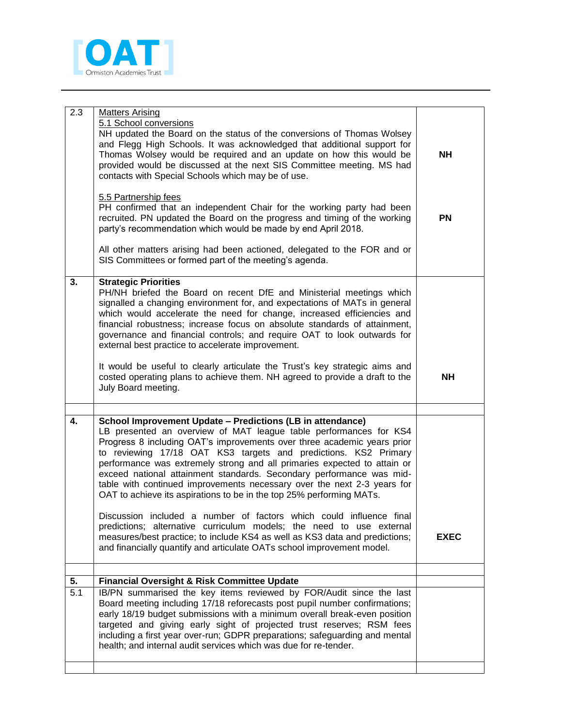

| 2.3              | <b>Matters Arising</b>                                                                                                                              |             |
|------------------|-----------------------------------------------------------------------------------------------------------------------------------------------------|-------------|
|                  | 5.1 School conversions<br>NH updated the Board on the status of the conversions of Thomas Wolsey                                                    |             |
|                  | and Flegg High Schools. It was acknowledged that additional support for                                                                             |             |
|                  | Thomas Wolsey would be required and an update on how this would be                                                                                  | <b>NH</b>   |
|                  | provided would be discussed at the next SIS Committee meeting. MS had                                                                               |             |
|                  | contacts with Special Schools which may be of use.                                                                                                  |             |
|                  |                                                                                                                                                     |             |
|                  | 5.5 Partnership fees                                                                                                                                |             |
|                  | PH confirmed that an independent Chair for the working party had been                                                                               |             |
|                  | recruited. PN updated the Board on the progress and timing of the working                                                                           | <b>PN</b>   |
|                  | party's recommendation which would be made by end April 2018.                                                                                       |             |
|                  |                                                                                                                                                     |             |
|                  | All other matters arising had been actioned, delegated to the FOR and or                                                                            |             |
|                  | SIS Committees or formed part of the meeting's agenda.                                                                                              |             |
|                  |                                                                                                                                                     |             |
| 3.               | <b>Strategic Priorities</b>                                                                                                                         |             |
|                  | PH/NH briefed the Board on recent DfE and Ministerial meetings which                                                                                |             |
|                  | signalled a changing environment for, and expectations of MATs in general                                                                           |             |
|                  | which would accelerate the need for change, increased efficiencies and<br>financial robustness; increase focus on absolute standards of attainment, |             |
|                  | governance and financial controls; and require OAT to look outwards for                                                                             |             |
|                  | external best practice to accelerate improvement.                                                                                                   |             |
|                  |                                                                                                                                                     |             |
|                  | It would be useful to clearly articulate the Trust's key strategic aims and                                                                         |             |
|                  | costed operating plans to achieve them. NH agreed to provide a draft to the                                                                         | <b>NH</b>   |
|                  | July Board meeting.                                                                                                                                 |             |
|                  |                                                                                                                                                     |             |
|                  |                                                                                                                                                     |             |
| 4.               | School Improvement Update - Predictions (LB in attendance)                                                                                          |             |
|                  | LB presented an overview of MAT league table performances for KS4                                                                                   |             |
|                  | Progress 8 including OAT's improvements over three academic years prior                                                                             |             |
|                  | to reviewing 17/18 OAT KS3 targets and predictions. KS2 Primary                                                                                     |             |
|                  | performance was extremely strong and all primaries expected to attain or<br>exceed national attainment standards. Secondary performance was mid-    |             |
|                  | table with continued improvements necessary over the next 2-3 years for                                                                             |             |
|                  | OAT to achieve its aspirations to be in the top 25% performing MATs.                                                                                |             |
|                  |                                                                                                                                                     |             |
|                  | Discussion included a number of factors which could influence final                                                                                 |             |
|                  | predictions; alternative curriculum models; the need to use external                                                                                |             |
|                  | measures/best practice; to include KS4 as well as KS3 data and predictions;                                                                         | <b>EXEC</b> |
|                  | and financially quantify and articulate OATs school improvement model.                                                                              |             |
|                  |                                                                                                                                                     |             |
| 5.               | <b>Financial Oversight &amp; Risk Committee Update</b>                                                                                              |             |
| $\overline{5}.1$ | IB/PN summarised the key items reviewed by FOR/Audit since the last                                                                                 |             |
|                  | Board meeting including 17/18 reforecasts post pupil number confirmations;                                                                          |             |
|                  | early 18/19 budget submissions with a minimum overall break-even position                                                                           |             |
|                  | targeted and giving early sight of projected trust reserves; RSM fees                                                                               |             |
|                  |                                                                                                                                                     |             |
|                  |                                                                                                                                                     |             |
|                  | including a first year over-run; GDPR preparations; safeguarding and mental<br>health; and internal audit services which was due for re-tender.     |             |
|                  |                                                                                                                                                     |             |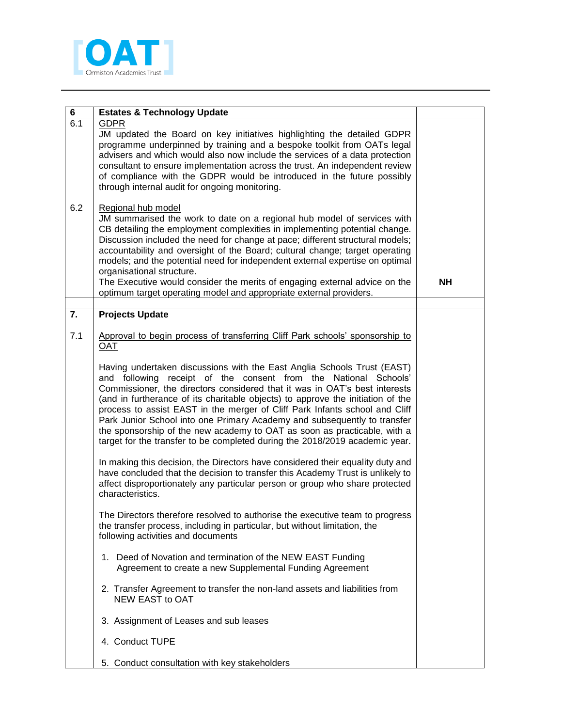

| 6   | <b>Estates &amp; Technology Update</b>                                                                                                                                                                                                                                                                                                                                                                                                                                                                                                                                                                                            |           |
|-----|-----------------------------------------------------------------------------------------------------------------------------------------------------------------------------------------------------------------------------------------------------------------------------------------------------------------------------------------------------------------------------------------------------------------------------------------------------------------------------------------------------------------------------------------------------------------------------------------------------------------------------------|-----------|
| 6.1 | <b>GDPR</b><br>JM updated the Board on key initiatives highlighting the detailed GDPR<br>programme underpinned by training and a bespoke toolkit from OATs legal<br>advisers and which would also now include the services of a data protection<br>consultant to ensure implementation across the trust. An independent review<br>of compliance with the GDPR would be introduced in the future possibly<br>through internal audit for ongoing monitoring.                                                                                                                                                                        |           |
| 6.2 | Regional hub model<br>JM summarised the work to date on a regional hub model of services with<br>CB detailing the employment complexities in implementing potential change.<br>Discussion included the need for change at pace; different structural models;<br>accountability and oversight of the Board; cultural change; target operating<br>models; and the potential need for independent external expertise on optimal<br>organisational structure.<br>The Executive would consider the merits of engaging external advice on the<br>optimum target operating model and appropriate external providers.                     | <b>NH</b> |
| 7.  | <b>Projects Update</b>                                                                                                                                                                                                                                                                                                                                                                                                                                                                                                                                                                                                            |           |
| 7.1 | Approval to begin process of transferring Cliff Park schools' sponsorship to<br><b>OAT</b>                                                                                                                                                                                                                                                                                                                                                                                                                                                                                                                                        |           |
|     | Having undertaken discussions with the East Anglia Schools Trust (EAST)<br>and following receipt of the consent from the National Schools'<br>Commissioner, the directors considered that it was in OAT's best interests<br>(and in furtherance of its charitable objects) to approve the initiation of the<br>process to assist EAST in the merger of Cliff Park Infants school and Cliff<br>Park Junior School into one Primary Academy and subsequently to transfer<br>the sponsorship of the new academy to OAT as soon as practicable, with a<br>target for the transfer to be completed during the 2018/2019 academic year. |           |
|     | In making this decision, the Directors have considered their equality duty and<br>have concluded that the decision to transfer this Academy Trust is unlikely to<br>affect disproportionately any particular person or group who share protected<br>characteristics.                                                                                                                                                                                                                                                                                                                                                              |           |
|     | The Directors therefore resolved to authorise the executive team to progress<br>the transfer process, including in particular, but without limitation, the<br>following activities and documents                                                                                                                                                                                                                                                                                                                                                                                                                                  |           |
|     | 1. Deed of Novation and termination of the NEW EAST Funding<br>Agreement to create a new Supplemental Funding Agreement                                                                                                                                                                                                                                                                                                                                                                                                                                                                                                           |           |
|     | 2. Transfer Agreement to transfer the non-land assets and liabilities from<br>NEW EAST to OAT                                                                                                                                                                                                                                                                                                                                                                                                                                                                                                                                     |           |
|     | 3. Assignment of Leases and sub leases                                                                                                                                                                                                                                                                                                                                                                                                                                                                                                                                                                                            |           |
|     | 4. Conduct TUPE                                                                                                                                                                                                                                                                                                                                                                                                                                                                                                                                                                                                                   |           |
|     | 5. Conduct consultation with key stakeholders                                                                                                                                                                                                                                                                                                                                                                                                                                                                                                                                                                                     |           |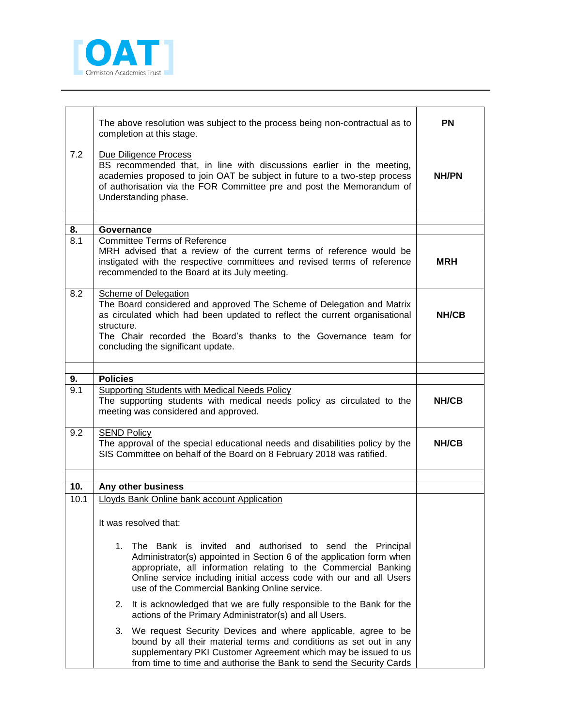

| 7.2       | The above resolution was subject to the process being non-contractual as to<br>completion at this stage.<br>Due Diligence Process<br>BS recommended that, in line with discussions earlier in the meeting,<br>academies proposed to join OAT be subject in future to a two-step process<br>of authorisation via the FOR Committee pre and post the Memorandum of<br>Understanding phase. | PN<br><b>NH/PN</b> |
|-----------|------------------------------------------------------------------------------------------------------------------------------------------------------------------------------------------------------------------------------------------------------------------------------------------------------------------------------------------------------------------------------------------|--------------------|
|           |                                                                                                                                                                                                                                                                                                                                                                                          |                    |
|           | Governance                                                                                                                                                                                                                                                                                                                                                                               |                    |
| 8.<br>8.1 |                                                                                                                                                                                                                                                                                                                                                                                          |                    |
|           | <b>Committee Terms of Reference</b><br>MRH advised that a review of the current terms of reference would be<br>instigated with the respective committees and revised terms of reference<br>recommended to the Board at its July meeting.                                                                                                                                                 | <b>MRH</b>         |
| 8.2       | Scheme of Delegation<br>The Board considered and approved The Scheme of Delegation and Matrix<br>as circulated which had been updated to reflect the current organisational<br>structure.<br>The Chair recorded the Board's thanks to the Governance team for                                                                                                                            | NH/CB              |
|           | concluding the significant update.                                                                                                                                                                                                                                                                                                                                                       |                    |
|           |                                                                                                                                                                                                                                                                                                                                                                                          |                    |
| 9.        | <b>Policies</b>                                                                                                                                                                                                                                                                                                                                                                          |                    |
| 9.1       | Supporting Students with Medical Needs Policy<br>The supporting students with medical needs policy as circulated to the<br>meeting was considered and approved.                                                                                                                                                                                                                          | NH/CB              |
| 9.2       | <b>SEND Policy</b><br>The approval of the special educational needs and disabilities policy by the<br>SIS Committee on behalf of the Board on 8 February 2018 was ratified.                                                                                                                                                                                                              | <b>NH/CB</b>       |
|           |                                                                                                                                                                                                                                                                                                                                                                                          |                    |
| 10.       | Any other business                                                                                                                                                                                                                                                                                                                                                                       |                    |
| 10.1      | Lloyds Bank Online bank account Application                                                                                                                                                                                                                                                                                                                                              |                    |
|           | It was resolved that:                                                                                                                                                                                                                                                                                                                                                                    |                    |
|           | 1. The Bank is invited and authorised to send the Principal<br>Administrator(s) appointed in Section 6 of the application form when<br>appropriate, all information relating to the Commercial Banking<br>Online service including initial access code with our and all Users<br>use of the Commercial Banking Online service.                                                           |                    |
|           | 2. It is acknowledged that we are fully responsible to the Bank for the<br>actions of the Primary Administrator(s) and all Users.                                                                                                                                                                                                                                                        |                    |
|           | 3.<br>We request Security Devices and where applicable, agree to be<br>bound by all their material terms and conditions as set out in any<br>supplementary PKI Customer Agreement which may be issued to us<br>from time to time and authorise the Bank to send the Security Cards                                                                                                       |                    |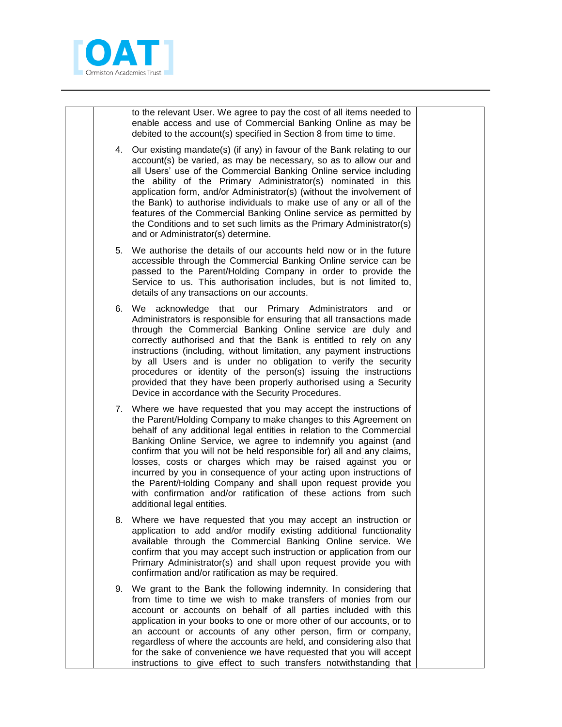

to the relevant User. We agree to pay the cost of all items needed to enable access and use of Commercial Banking Online as may be debited to the account(s) specified in Section 8 from time to time.

- 4. Our existing mandate(s) (if any) in favour of the Bank relating to our account(s) be varied, as may be necessary, so as to allow our and all Users' use of the Commercial Banking Online service including the ability of the Primary Administrator(s) nominated in this application form, and/or Administrator(s) (without the involvement of the Bank) to authorise individuals to make use of any or all of the features of the Commercial Banking Online service as permitted by the Conditions and to set such limits as the Primary Administrator(s) and or Administrator(s) determine.
- 5. We authorise the details of our accounts held now or in the future accessible through the Commercial Banking Online service can be passed to the Parent/Holding Company in order to provide the Service to us. This authorisation includes, but is not limited to, details of any transactions on our accounts.
- 6. We acknowledge that our Primary Administrators and or Administrators is responsible for ensuring that all transactions made through the Commercial Banking Online service are duly and correctly authorised and that the Bank is entitled to rely on any instructions (including, without limitation, any payment instructions by all Users and is under no obligation to verify the security procedures or identity of the person(s) issuing the instructions provided that they have been properly authorised using a Security Device in accordance with the Security Procedures.
- 7. Where we have requested that you may accept the instructions of the Parent/Holding Company to make changes to this Agreement on behalf of any additional legal entities in relation to the Commercial Banking Online Service, we agree to indemnify you against (and confirm that you will not be held responsible for) all and any claims, losses, costs or charges which may be raised against you or incurred by you in consequence of your acting upon instructions of the Parent/Holding Company and shall upon request provide you with confirmation and/or ratification of these actions from such additional legal entities.
- 8. Where we have requested that you may accept an instruction or application to add and/or modify existing additional functionality available through the Commercial Banking Online service. We confirm that you may accept such instruction or application from our Primary Administrator(s) and shall upon request provide you with confirmation and/or ratification as may be required.
- 9. We grant to the Bank the following indemnity. In considering that from time to time we wish to make transfers of monies from our account or accounts on behalf of all parties included with this application in your books to one or more other of our accounts, or to an account or accounts of any other person, firm or company, regardless of where the accounts are held, and considering also that for the sake of convenience we have requested that you will accept instructions to give effect to such transfers notwithstanding that